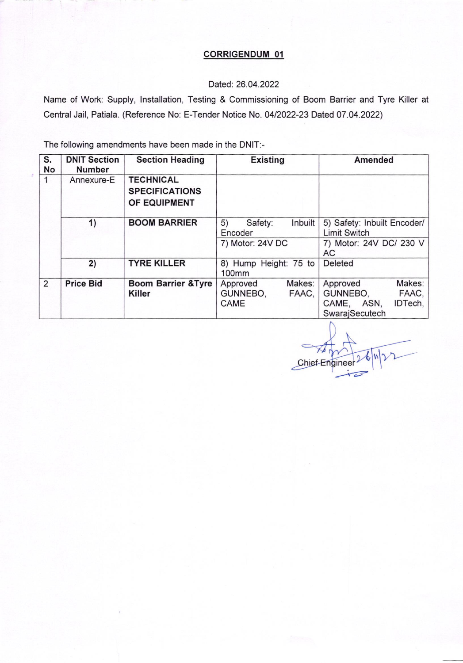#### CORRIGENDUM 01

### Dated:26.04.2022

Name of Work: Supply, lnstallation, Testing & Commissioning of Boom Barrier and Tyre Killer at Central Jail, Patiala. (Reference No: E-Tender Notice No. 0412022-23 Dated 07 .04.2022)

| S.<br>No | <b>DNIT Section</b><br><b>Number</b> | <b>Section Heading</b>                                    | <b>Existing</b>                                         | <b>Amended</b>                                                                       |
|----------|--------------------------------------|-----------------------------------------------------------|---------------------------------------------------------|--------------------------------------------------------------------------------------|
| 1        | Annexure-E                           | <b>TECHNICAL</b><br><b>SPECIFICATIONS</b><br>OF EQUIPMENT |                                                         |                                                                                      |
|          | 1)                                   | <b>BOOM BARRIER</b>                                       | 5)<br>Safety:<br>Inbuilt<br>Encoder<br>7) Motor: 24V DC | 5) Safety: Inbuilt Encoder/<br><b>Limit Switch</b><br>7) Motor: 24V DC/ 230 V<br>AC. |
|          | 2)                                   | <b>TYRE KILLER</b>                                        | 8) Hump Height: 75 to<br>100 <sub>mm</sub>              | Deleted                                                                              |
| 2        | <b>Price Bid</b>                     | <b>Boom Barrier &amp;Tyre</b><br><b>Killer</b>            | Makes:<br>Approved<br>GUNNEBO,<br>FAAC,<br><b>CAME</b>  | Makes:<br>Approved<br>GUNNEBO,<br>FAAC,<br>IDTech,<br>CAME, ASN,<br>SwarajSecutech   |

Chief Enginee  $\overline{\phantom{1}}$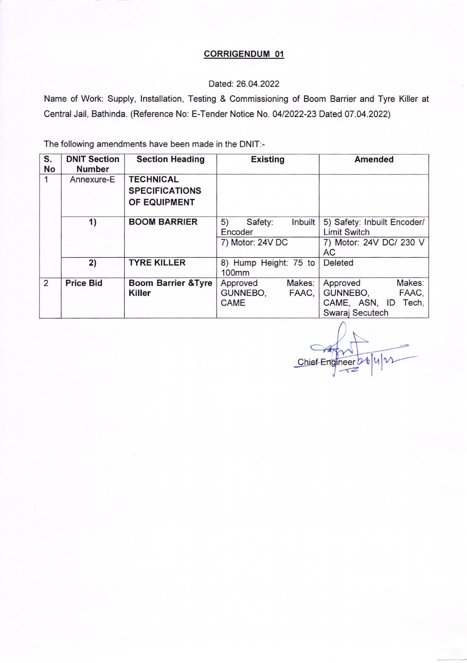# CORRIGENDUM 01

# Dated: 26.04.2022

Name of Work: Supply, lnstallation, Testing & Commissioning of Boom Barrier and Tyre Killer at Central Jail, Bathinda. (Reference No: E-Tender Notice No. 04/2022-23 Dated 07.04.2022)

| S.<br>No | <b>DNIT Section</b><br><b>Number</b> | <b>Section Heading</b>                                    | <b>Existing</b>                                         | <b>Amended</b>                                                                      |
|----------|--------------------------------------|-----------------------------------------------------------|---------------------------------------------------------|-------------------------------------------------------------------------------------|
| 1        | Annexure-E                           | <b>TECHNICAL</b><br><b>SPECIFICATIONS</b><br>OF EQUIPMENT |                                                         |                                                                                     |
|          | 1)                                   | <b>BOOM BARRIER</b>                                       | 5)<br>Inbuilt<br>Safety:<br>Encoder<br>7) Motor: 24V DC | 5) Safety: Inbuilt Encoder/<br><b>Limit Switch</b><br>7) Motor: 24V DC/ 230 V<br>AC |
|          | 2)                                   | <b>TYRE KILLER</b>                                        | 8) Hump Height: 75 to<br>100mm                          | Deleted                                                                             |
| 2        | <b>Price Bid</b>                     | <b>Boom Barrier &amp; Tyre</b><br><b>Killer</b>           | Makes:<br>Approved<br>GUNNEBO,<br>FAAC,<br>CAME         | Makes:<br>Approved<br>GUNNEBO,<br>FAAC,<br>CAME, ASN, ID Tech,<br>Swaraj Secutech   |

 $n = 56$  4  $\text{W}$ Chief Eng  $\tau$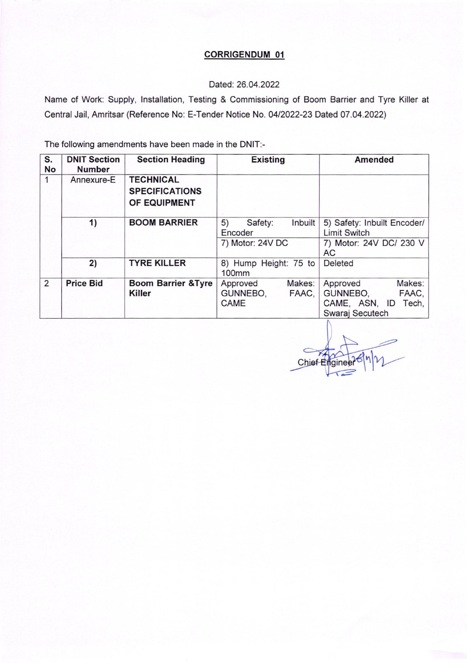# CORRIGENDUM 01

#### Dated:26.04.2022

Name of Work: Supply, lnstallation, Testing & Commissioning of Boom Barrier and Tyre Killer at Central Jail, Amritsar (Reference No: E-Tender Notice No. 04/2022-23 Dated 07.04.2022)

| S.<br>No | <b>DNIT Section</b><br><b>Number</b> | <b>Section Heading</b>                                    | <b>Existing</b>                                         | <b>Amended</b>                                                                             |
|----------|--------------------------------------|-----------------------------------------------------------|---------------------------------------------------------|--------------------------------------------------------------------------------------------|
| 1        | Annexure-E                           | <b>TECHNICAL</b><br><b>SPECIFICATIONS</b><br>OF EQUIPMENT |                                                         |                                                                                            |
|          | 1)                                   | <b>BOOM BARRIER</b>                                       | Inbuilt<br>5)<br>Safety:<br>Encoder<br>7) Motor: 24V DC | 5) Safety: Inbuilt Encoder/<br><b>Limit Switch</b><br>7) Motor: 24V DC/ 230 V<br><b>AC</b> |
|          | 2)                                   | <b>TYRE KILLER</b>                                        | 8) Hump Height: 75 to<br>100 <sub>mm</sub>              | Deleted                                                                                    |
| 2        | <b>Price Bid</b>                     | <b>Boom Barrier &amp; Tyre</b><br><b>Killer</b>           | Makes:<br>Approved<br>GUNNEBO,<br>FAAC,<br><b>CAME</b>  | Approved<br>Makes:<br>GUNNEBO,<br>FAAC,<br>CAME, ASN, ID<br>Tech,<br>Swaraj Secutech       |

 $Chief E$